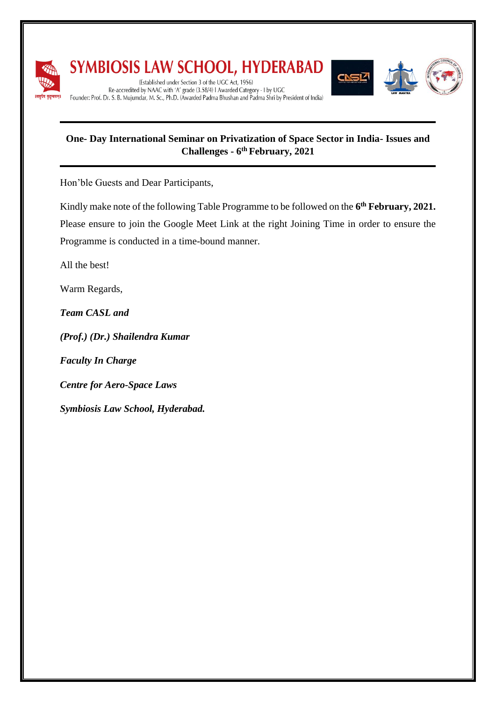

**SYMBIOSIS LAW SCHOOL, HYDERABAD** 





(Established under Section 3 of the UGC Act, 1956)<br>Re-accredited by NAAC with 'A' grade (3.58/4) | Awarded Category - 1 by UGC Founder: Prof. Dr. S. B. Mujumdar, M. Sc., Ph.D. (Awarded Padma Bhushan and Padma Shri by President of India)

## **One- Day International Seminar on Privatization of Space Sector in India- Issues and Challenges - 6 th February, 2021**

Hon'ble Guests and Dear Participants,

Kindly make note of the following Table Programme to be followed on the **6 th February, 2021.**  Please ensure to join the Google Meet Link at the right Joining Time in order to ensure the Programme is conducted in a time-bound manner.

All the best!

Warm Regards,

*Team CASL and*

*(Prof.) (Dr.) Shailendra Kumar*

*Faculty In Charge*

*Centre for Aero-Space Laws*

*Symbiosis Law School, Hyderabad.*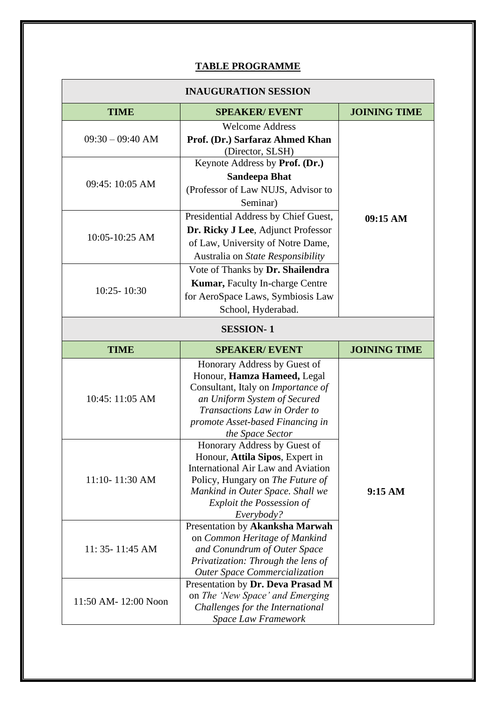## **TABLE PROGRAMME**

| <b>INAUGURATION SESSION</b> |                                                                                                                                                                                                                           |                     |
|-----------------------------|---------------------------------------------------------------------------------------------------------------------------------------------------------------------------------------------------------------------------|---------------------|
| <b>TIME</b>                 | <b>SPEAKER/ EVENT</b>                                                                                                                                                                                                     | <b>JOINING TIME</b> |
| $09:30 - 09:40$ AM          | <b>Welcome Address</b><br>Prof. (Dr.) Sarfaraz Ahmed Khan<br>(Director, SLSH)                                                                                                                                             |                     |
| 09:45: 10:05 AM             | Keynote Address by Prof. (Dr.)<br><b>Sandeepa Bhat</b><br>(Professor of Law NUJS, Advisor to<br>Seminar)                                                                                                                  |                     |
| 10:05-10:25 AM              | Presidential Address by Chief Guest,<br>Dr. Ricky J Lee, Adjunct Professor<br>of Law, University of Notre Dame,<br>Australia on State Responsibility                                                                      | 09:15 AM            |
| $10:25 - 10:30$             | Vote of Thanks by Dr. Shailendra<br><b>Kumar, Faculty In-charge Centre</b><br>for AeroSpace Laws, Symbiosis Law<br>School, Hyderabad.                                                                                     |                     |
|                             | <b>SESSION-1</b>                                                                                                                                                                                                          |                     |
| <b>TIME</b>                 | <b>SPEAKER/ EVENT</b>                                                                                                                                                                                                     | <b>JOINING TIME</b> |
| $10:45:11:05$ AM            | Honorary Address by Guest of<br>Honour, Hamza Hameed, Legal<br>Consultant, Italy on Importance of<br>an Uniform System of Secured<br>Transactions Law in Order to<br>promote Asset-based Financing in<br>the Space Sector |                     |
| 11:10-11:30 AM              | Honorary Address by Guest of<br>Honour, Attila Sipos, Expert in<br>International Air Law and Aviation<br>Policy, Hungary on The Future of<br>Mankind in Outer Space. Shall we<br>Exploit the Possession of<br>Everybody?  | 9:15 AM             |
| $11:35 - 11:45$ AM          | Presentation by Akanksha Marwah<br>on Common Heritage of Mankind<br>and Conundrum of Outer Space<br>Privatization: Through the lens of<br><b>Outer Space Commercialization</b>                                            |                     |
| 11:50 AM-12:00 Noon         | Presentation by Dr. Deva Prasad M<br>on The 'New Space' and Emerging<br>Challenges for the International<br><b>Space Law Framework</b>                                                                                    |                     |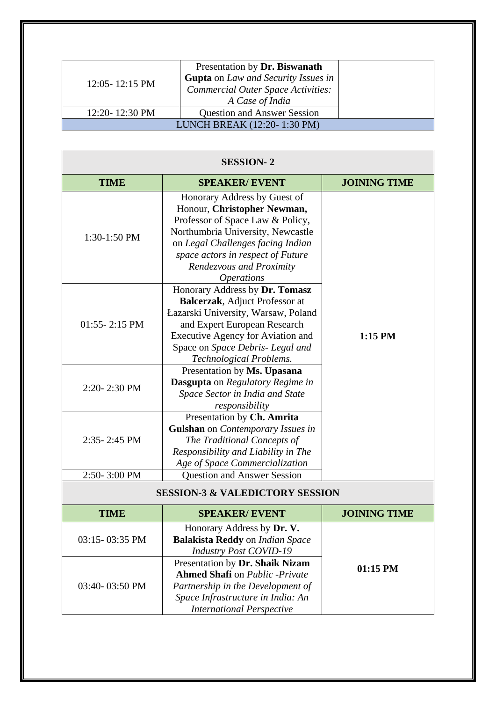| $12:05 - 12:15 \text{ PM}$  | Presentation by Dr. Biswanath<br><b>Gupta</b> on <i>Law and Security Issues in</i><br><b>Commercial Outer Space Activities:</b><br>A Case of India |  |
|-----------------------------|----------------------------------------------------------------------------------------------------------------------------------------------------|--|
| 12:20-12:30 PM              | <b>Question and Answer Session</b>                                                                                                                 |  |
| LUNCH BREAK (12:20-1:30 PM) |                                                                                                                                                    |  |

|                   | <b>SESSION-2</b>                                                                                                                                                                                                                                                       |                     |
|-------------------|------------------------------------------------------------------------------------------------------------------------------------------------------------------------------------------------------------------------------------------------------------------------|---------------------|
| <b>TIME</b>       | <b>SPEAKER/ EVENT</b>                                                                                                                                                                                                                                                  | <b>JOINING TIME</b> |
| $1:30-1:50$ PM    | Honorary Address by Guest of<br>Honour, Christopher Newman,<br>Professor of Space Law & Policy,<br>Northumbria University, Newcastle<br>on Legal Challenges facing Indian<br>space actors in respect of Future<br>Rendezvous and Proximity<br><i><b>Operations</b></i> | $1:15$ PM           |
| $01:55 - 2:15$ PM | Honorary Address by Dr. Tomasz<br>Balcerzak, Adjuct Professor at<br>Łazarski University, Warsaw, Poland<br>and Expert European Research<br>Executive Agency for Aviation and<br>Space on Space Debris- Legal and<br><b>Technological Problems.</b>                     |                     |
| $2:20 - 2:30$ PM  | Presentation by Ms. Upasana<br><b>Dasgupta</b> on Regulatory Regime in<br>Space Sector in India and State<br>responsibility                                                                                                                                            |                     |
| $2:35 - 2:45$ PM  | Presentation by Ch. Amrita<br><b>Gulshan</b> on <i>Contemporary Issues in</i><br>The Traditional Concepts of<br>Responsibility and Liability in The<br>Age of Space Commercialization                                                                                  |                     |
| 2:50-3:00 PM      | <b>Ouestion and Answer Session</b>                                                                                                                                                                                                                                     |                     |
|                   | <b>SESSION-3 &amp; VALEDICTORY SESSION</b>                                                                                                                                                                                                                             |                     |
| <b>TIME</b>       | <b>SPEAKER/ EVENT</b>                                                                                                                                                                                                                                                  | <b>JOINING TIME</b> |
| 03:15 - 03:35 PM  | Honorary Address by Dr. V.<br><b>Balakista Reddy on Indian Space</b><br><b>Industry Post COVID-19</b>                                                                                                                                                                  |                     |
| 03:40-03:50 PM    | Presentation by Dr. Shaik Nizam<br><b>Ahmed Shafi</b> on <i>Public -Private</i><br>Partnership in the Development of                                                                                                                                                   | 01:15 PM            |

*Space Infrastructure in India: An International Perspective*